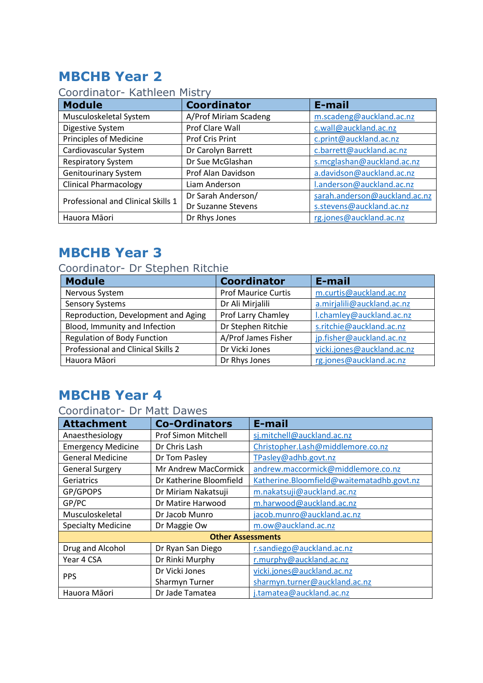## **MBCHB Year 2**

### Coordinator- Kathleen Mistry

| <b>Module</b>                      | <b>Coordinator</b>     | E-mail                        |
|------------------------------------|------------------------|-------------------------------|
| Musculoskeletal System             | A/Prof Miriam Scadeng  | m.scadeng@auckland.ac.nz      |
| Digestive System                   | Prof Clare Wall        | c.wall@auckland.ac.nz         |
| <b>Principles of Medicine</b>      | <b>Prof Cris Print</b> | c.print@auckland.ac.nz        |
| Cardiovascular System              | Dr Carolyn Barrett     | c.barrett@auckland.ac.nz      |
| <b>Respiratory System</b>          | Dr Sue McGlashan       | s.mcglashan@auckland.ac.nz    |
| <b>Genitourinary System</b>        | Prof Alan Davidson     | a.davidson@auckland.ac.nz     |
| <b>Clinical Pharmacology</b>       | Liam Anderson          | l.anderson@auckland.ac.nz     |
| Professional and Clinical Skills 1 | Dr Sarah Anderson/     | sarah.anderson@auckland.ac.nz |
|                                    | Dr Suzanne Stevens     | s.stevens@auckland.ac.nz      |
| Hauora Māori                       | Dr Rhys Jones          | rg.jones@auckland.ac.nz       |

### **MBCHB Year 3**

#### Coordinator- Dr Stephen Ritchie

| <b>Module</b>                       | <b>Coordinator</b>         | E-mail                     |
|-------------------------------------|----------------------------|----------------------------|
| Nervous System                      | <b>Prof Maurice Curtis</b> | m.curtis@auckland.ac.nz    |
| <b>Sensory Systems</b>              | Dr Ali Mirjalili           | a.mirjalili@auckland.ac.nz |
| Reproduction, Development and Aging | Prof Larry Chamley         | I.chamley@auckland.ac.nz   |
| Blood, Immunity and Infection       | Dr Stephen Ritchie         | s.ritchie@auckland.ac.nz   |
| <b>Regulation of Body Function</b>  | A/Prof James Fisher        | jp.fisher@auckland.ac.nz   |
| Professional and Clinical Skills 2  | Dr Vicki Jones             | vicki.jones@auckland.ac.nz |
| Hauora Māori                        | Dr Rhys Jones              | rg.jones@auckland.ac.nz    |

### **MBCHB Year 4**

#### Coordinator- Dr Matt Dawes

| <b>Attachment</b>         | <b>Co-Ordinators</b>       | E-mail                                    |
|---------------------------|----------------------------|-------------------------------------------|
| Anaesthesiology           | <b>Prof Simon Mitchell</b> | sj.mitchell@auckland.ac.nz                |
| <b>Emergency Medicine</b> | Dr Chris Lash              | Christopher.Lash@middlemore.co.nz         |
| <b>General Medicine</b>   | Dr Tom Pasley              | TPasley@adhb.govt.nz                      |
| <b>General Surgery</b>    | Mr Andrew MacCormick       | andrew.maccormick@middlemore.co.nz        |
| Geriatrics                | Dr Katherine Bloomfield    | Katherine.Bloomfield@waitematadhb.govt.nz |
| GP/GPOPS                  | Dr Miriam Nakatsuji        | m.nakatsuji@auckland.ac.nz                |
| GP/PC                     | Dr Matire Harwood          | m.harwood@auckland.ac.nz                  |
| Musculoskeletal           | Dr Jacob Munro             | jacob.munro@auckland.ac.nz                |
| <b>Specialty Medicine</b> | Dr Maggie Ow               | m.ow@auckland.ac.nz                       |
| <b>Other Assessments</b>  |                            |                                           |
| Drug and Alcohol          | Dr Ryan San Diego          | r.sandiego@auckland.ac.nz                 |
| Year 4 CSA                | Dr Rinki Murphy            | r.murphy@auckland.ac.nz                   |
| <b>PPS</b>                | Dr Vicki Jones             | vicki.jones@auckland.ac.nz                |
|                           | Sharmyn Turner             | sharmyn.turner@auckland.ac.nz             |
| Hauora Māori              | Dr Jade Tamatea            | j.tamatea@auckland.ac.nz                  |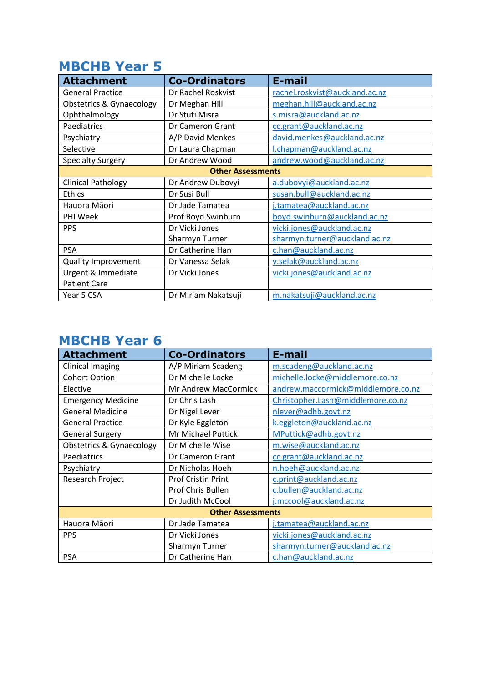### **MBCHB Year 5**

| <b>Attachment</b>                   | <b>Co-Ordinators</b> | E-mail                         |  |
|-------------------------------------|----------------------|--------------------------------|--|
| <b>General Practice</b>             | Dr Rachel Roskvist   | rachel.roskvist@auckland.ac.nz |  |
| <b>Obstetrics &amp; Gynaecology</b> | Dr Meghan Hill       | meghan.hill@auckland.ac.nz     |  |
| Ophthalmology                       | Dr Stuti Misra       | s.misra@auckland.ac.nz         |  |
| Paediatrics                         | Dr Cameron Grant     | cc.grant@auckland.ac.nz        |  |
| Psychiatry                          | A/P David Menkes     | david.menkes@auckland.ac.nz    |  |
| Selective                           | Dr Laura Chapman     | I.chapman@auckland.ac.nz       |  |
| <b>Specialty Surgery</b>            | Dr Andrew Wood       | andrew.wood@auckland.ac.nz     |  |
| <b>Other Assessments</b>            |                      |                                |  |
| <b>Clinical Pathology</b>           | Dr Andrew Dubovyi    | a.dubovyi@auckland.ac.nz       |  |
| <b>Ethics</b>                       | Dr Susi Bull         | susan.bull@auckland.ac.nz      |  |
| Hauora Māori                        | Dr Jade Tamatea      | j.tamatea@auckland.ac.nz       |  |
| PHI Week                            | Prof Boyd Swinburn   | boyd.swinburn@auckland.ac.nz   |  |
| <b>PPS</b>                          | Dr Vicki Jones       | vicki.jones@auckland.ac.nz     |  |
|                                     | Sharmyn Turner       | sharmyn.turner@auckland.ac.nz  |  |
| <b>PSA</b>                          | Dr Catherine Han     | c.han@auckland.ac.nz           |  |
| Quality Improvement                 | Dr Vanessa Selak     | v.selak@auckland.ac.nz         |  |
| Urgent & Immediate                  | Dr Vicki Jones       | vicki.jones@auckland.ac.nz     |  |
| <b>Patient Care</b>                 |                      |                                |  |
| Year 5 CSA                          | Dr Miriam Nakatsuji  | m.nakatsuji@auckland.ac.nz     |  |

### **MBCHB Year 6**

| <b>Attachment</b>                   | <b>Co-Ordinators</b>      | E-mail                             |  |
|-------------------------------------|---------------------------|------------------------------------|--|
| <b>Clinical Imaging</b>             | A/P Miriam Scadeng        | m.scadeng@auckland.ac.nz           |  |
| <b>Cohort Option</b>                | Dr Michelle Locke         | michelle.locke@middlemore.co.nz    |  |
| Elective                            | Mr Andrew MacCormick      | andrew.maccormick@middlemore.co.nz |  |
| <b>Emergency Medicine</b>           | Dr Chris Lash             | Christopher.Lash@middlemore.co.nz  |  |
| <b>General Medicine</b>             | Dr Nigel Lever            | nlever@adhb.govt.nz                |  |
| <b>General Practice</b>             | Dr Kyle Eggleton          | k.eggleton@auckland.ac.nz          |  |
| <b>General Surgery</b>              | <b>Mr Michael Puttick</b> | MPuttick@adhb.govt.nz              |  |
| <b>Obstetrics &amp; Gynaecology</b> | Dr Michelle Wise          | m.wise@auckland.ac.nz              |  |
| Paediatrics                         | Dr Cameron Grant          | cc.grant@auckland.ac.nz            |  |
| Psychiatry                          | Dr Nicholas Hoeh          | n.hoeh@auckland.ac.nz              |  |
| Research Project                    | <b>Prof Cristin Print</b> | c.print@auckland.ac.nz             |  |
|                                     | Prof Chris Bullen         | c.bullen@auckland.ac.nz            |  |
|                                     | Dr Judith McCool          | j.mccool@auckland.ac.nz            |  |
| <b>Other Assessments</b>            |                           |                                    |  |
| Hauora Māori                        | Dr Jade Tamatea           | j.tamatea@auckland.ac.nz           |  |
| <b>PPS</b>                          | Dr Vicki Jones            | vicki.jones@auckland.ac.nz         |  |
|                                     | <b>Sharmyn Turner</b>     | sharmyn.turner@auckland.ac.nz      |  |
| <b>PSA</b>                          | Dr Catherine Han          | c.han@auckland.ac.nz               |  |